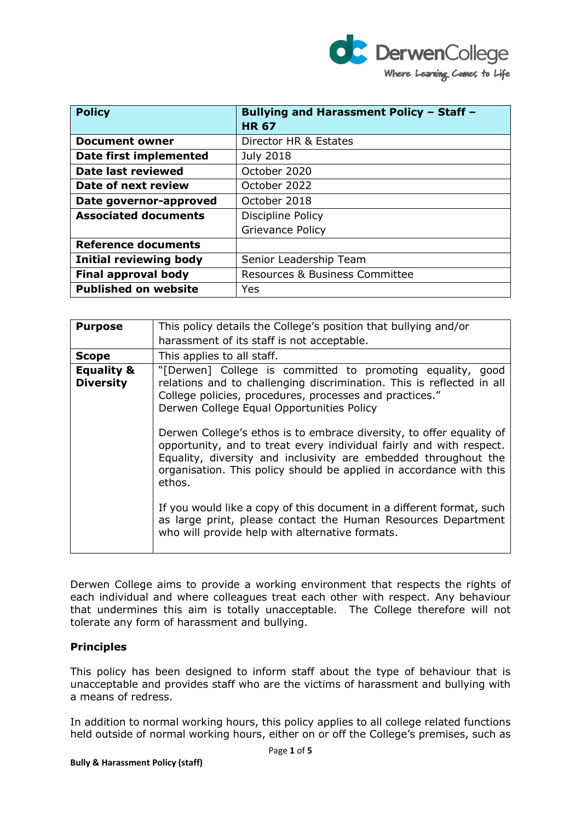

| <b>Policy</b>                 | <b>Bullying and Harassment Policy - Staff -</b><br><b>HR67</b> |
|-------------------------------|----------------------------------------------------------------|
| <b>Document owner</b>         | Director HR & Estates                                          |
| Date first implemented        | <b>July 2018</b>                                               |
| <b>Date last reviewed</b>     | October 2020                                                   |
| Date of next review           | October 2022                                                   |
| Date governor-approved        | October 2018                                                   |
| <b>Associated documents</b>   | Discipline Policy                                              |
|                               | Grievance Policy                                               |
| <b>Reference documents</b>    |                                                                |
| <b>Initial reviewing body</b> | Senior Leadership Team                                         |
| <b>Final approval body</b>    | Resources & Business Committee                                 |
| <b>Published on website</b>   | Yes                                                            |

| <b>Purpose</b>                            | This policy details the College's position that bullying and/or                                                                                                                                                                                                                                 |
|-------------------------------------------|-------------------------------------------------------------------------------------------------------------------------------------------------------------------------------------------------------------------------------------------------------------------------------------------------|
|                                           | harassment of its staff is not acceptable.                                                                                                                                                                                                                                                      |
| <b>Scope</b>                              | This applies to all staff.                                                                                                                                                                                                                                                                      |
| <b>Equality &amp;</b><br><b>Diversity</b> | "[Derwen] College is committed to promoting equality, good<br>relations and to challenging discrimination. This is reflected in all<br>College policies, procedures, processes and practices."<br>Derwen College Equal Opportunities Policy                                                     |
|                                           | Derwen College's ethos is to embrace diversity, to offer equality of<br>opportunity, and to treat every individual fairly and with respect.<br>Equality, diversity and inclusivity are embedded throughout the<br>organisation. This policy should be applied in accordance with this<br>ethos. |
|                                           | If you would like a copy of this document in a different format, such<br>as large print, please contact the Human Resources Department<br>who will provide help with alternative formats.                                                                                                       |

Derwen College aims to provide a working environment that respects the rights of each individual and where colleagues treat each other with respect. Any behaviour that undermines this aim is totally unacceptable. The College therefore will not tolerate any form of harassment and bullying.

# **Principles**

This policy has been designed to inform staff about the type of behaviour that is unacceptable and provides staff who are the victims of harassment and bullying with a means of redress.

In addition to normal working hours, this policy applies to all college related functions held outside of normal working hours, either on or off the College's premises, such as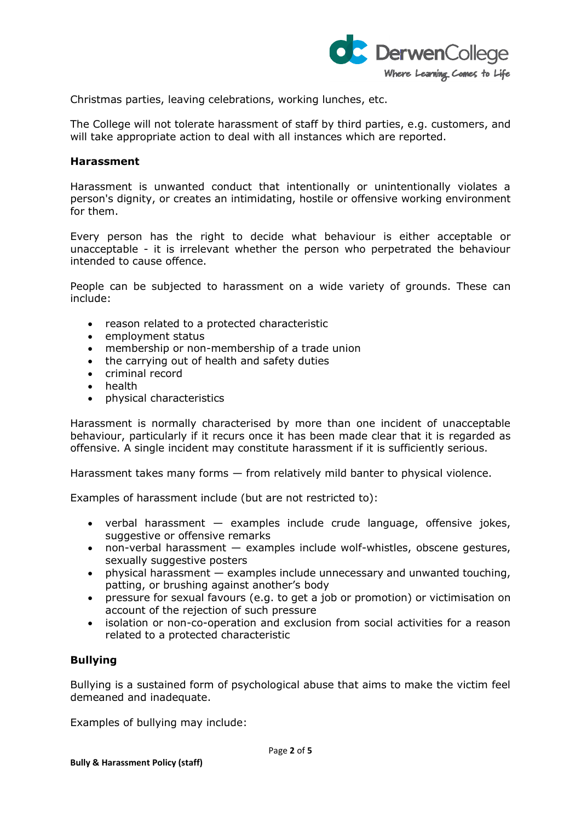

Christmas parties, leaving celebrations, working lunches, etc.

The College will not tolerate harassment of staff by third parties, e.g. customers, and will take appropriate action to deal with all instances which are reported.

### **Harassment**

Harassment is unwanted conduct that intentionally or unintentionally violates a person's dignity, or creates an intimidating, hostile or offensive working environment for them.

Every person has the right to decide what behaviour is either acceptable or unacceptable - it is irrelevant whether the person who perpetrated the behaviour intended to cause offence.

People can be subjected to harassment on a wide variety of grounds. These can include:

- reason related to a protected characteristic
- employment status
- membership or non-membership of a trade union
- the carrying out of health and safety duties
- criminal record
- health
- physical characteristics

Harassment is normally characterised by more than one incident of unacceptable behaviour, particularly if it recurs once it has been made clear that it is regarded as offensive. A single incident may constitute harassment if it is sufficiently serious.

Harassment takes many forms — from relatively mild banter to physical violence.

Examples of harassment include (but are not restricted to):

- verbal harassment examples include crude language, offensive jokes, suggestive or offensive remarks
- non-verbal harassment examples include wolf-whistles, obscene gestures, sexually suggestive posters
- physical harassment examples include unnecessary and unwanted touching, patting, or brushing against another's body
- pressure for sexual favours (e.g. to get a job or promotion) or victimisation on account of the rejection of such pressure
- isolation or non-co-operation and exclusion from social activities for a reason related to a protected characteristic

# **Bullying**

Bullying is a sustained form of psychological abuse that aims to make the victim feel demeaned and inadequate.

Examples of bullying may include: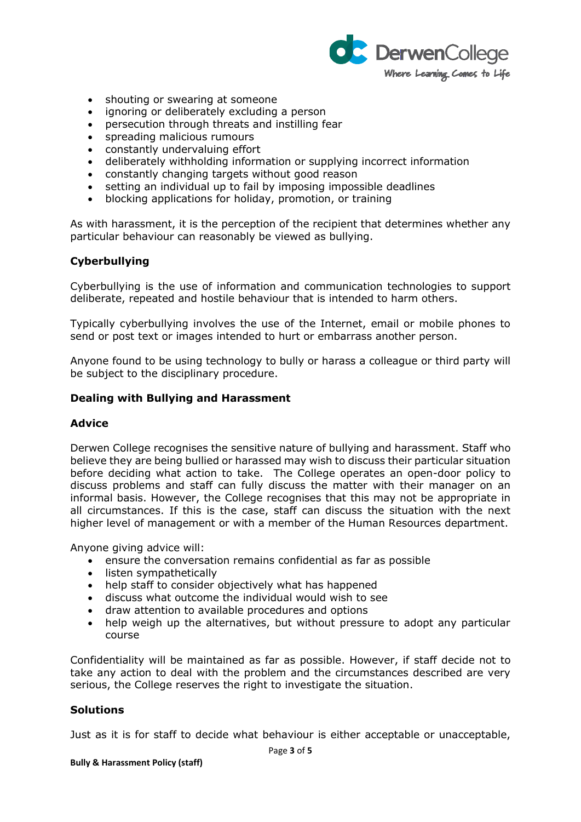

- shouting or swearing at someone
- ignoring or deliberately excluding a person
- persecution through threats and instilling fear
- spreading malicious rumours
- constantly undervaluing effort
- deliberately withholding information or supplying incorrect information
- constantly changing targets without good reason
- setting an individual up to fail by imposing impossible deadlines
- blocking applications for holiday, promotion, or training

As with harassment, it is the perception of the recipient that determines whether any particular behaviour can reasonably be viewed as bullying.

# **Cyberbullying**

Cyberbullying is the use of information and communication technologies to support deliberate, repeated and hostile behaviour that is intended to harm others.

Typically cyberbullying involves the use of the Internet, email or mobile phones to send or post text or images intended to hurt or embarrass another person.

Anyone found to be using technology to bully or harass a colleague or third party will be subject to the disciplinary procedure.

### **Dealing with Bullying and Harassment**

### **Advice**

Derwen College recognises the sensitive nature of bullying and harassment. Staff who believe they are being bullied or harassed may wish to discuss their particular situation before deciding what action to take. The College operates an open-door policy to discuss problems and staff can fully discuss the matter with their manager on an informal basis. However, the College recognises that this may not be appropriate in all circumstances. If this is the case, staff can discuss the situation with the next higher level of management or with a member of the Human Resources department.

Anyone giving advice will:

- ensure the conversation remains confidential as far as possible
- listen sympathetically
- help staff to consider objectively what has happened
- discuss what outcome the individual would wish to see
- draw attention to available procedures and options
- help weigh up the alternatives, but without pressure to adopt any particular course

Confidentiality will be maintained as far as possible. However, if staff decide not to take any action to deal with the problem and the circumstances described are very serious, the College reserves the right to investigate the situation.

# **Solutions**

Just as it is for staff to decide what behaviour is either acceptable or unacceptable,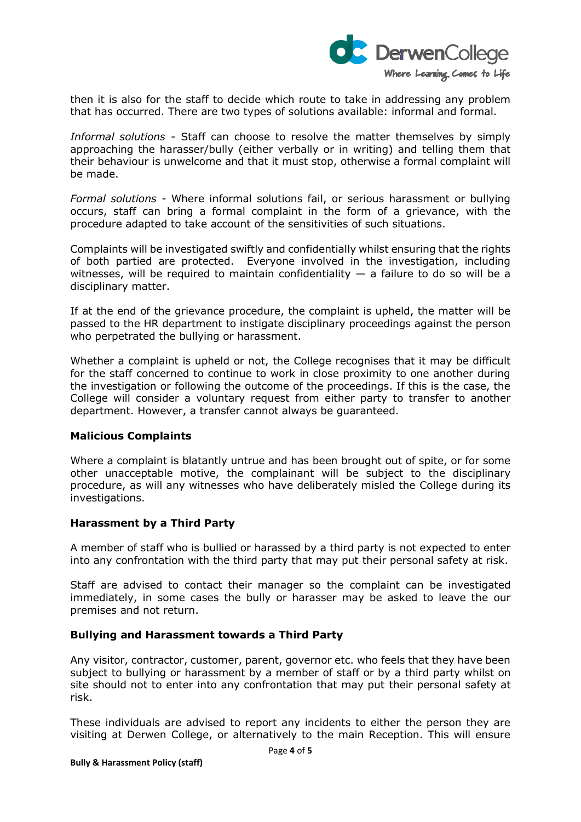

then it is also for the staff to decide which route to take in addressing any problem that has occurred. There are two types of solutions available: informal and formal.

*Informal solutions -* Staff can choose to resolve the matter themselves by simply approaching the harasser/bully (either verbally or in writing) and telling them that their behaviour is unwelcome and that it must stop, otherwise a formal complaint will be made.

*Formal solutions -* Where informal solutions fail, or serious harassment or bullying occurs, staff can bring a formal complaint in the form of a grievance, with the procedure adapted to take account of the sensitivities of such situations.

Complaints will be investigated swiftly and confidentially whilst ensuring that the rights of both partied are protected. Everyone involved in the investigation, including witnesses, will be required to maintain confidentiality  $-$  a failure to do so will be a disciplinary matter.

If at the end of the grievance procedure, the complaint is upheld, the matter will be passed to the HR department to instigate disciplinary proceedings against the person who perpetrated the bullying or harassment.

Whether a complaint is upheld or not, the College recognises that it may be difficult for the staff concerned to continue to work in close proximity to one another during the investigation or following the outcome of the proceedings. If this is the case, the College will consider a voluntary request from either party to transfer to another department. However, a transfer cannot always be guaranteed.

# **Malicious Complaints**

Where a complaint is blatantly untrue and has been brought out of spite, or for some other unacceptable motive, the complainant will be subject to the disciplinary procedure, as will any witnesses who have deliberately misled the College during its investigations.

### **Harassment by a Third Party**

A member of staff who is bullied or harassed by a third party is not expected to enter into any confrontation with the third party that may put their personal safety at risk.

Staff are advised to contact their manager so the complaint can be investigated immediately, in some cases the bully or harasser may be asked to leave the our premises and not return.

# **Bullying and Harassment towards a Third Party**

Any visitor, contractor, customer, parent, governor etc. who feels that they have been subject to bullying or harassment by a member of staff or by a third party whilst on site should not to enter into any confrontation that may put their personal safety at risk.

These individuals are advised to report any incidents to either the person they are visiting at Derwen College, or alternatively to the main Reception. This will ensure